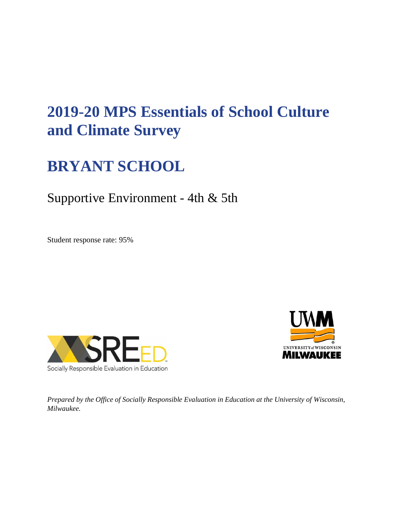# **2019-20 MPS Essentials of School Culture and Climate Survey**

## **BRYANT SCHOOL**

### Supportive Environment - 4th & 5th

Student response rate: 95%





*Prepared by the Office of Socially Responsible Evaluation in Education at the University of Wisconsin, Milwaukee.*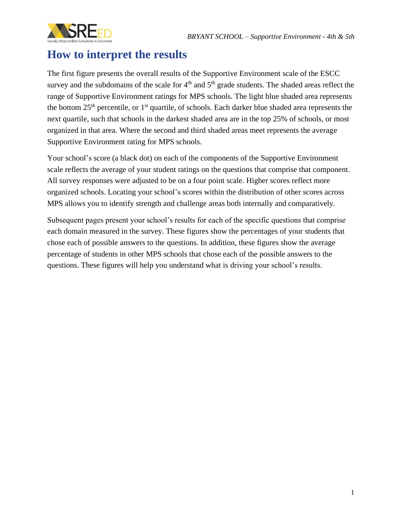

#### **How to interpret the results**

The first figure presents the overall results of the Supportive Environment scale of the ESCC survey and the subdomains of the scale for  $4<sup>th</sup>$  and  $5<sup>th</sup>$  grade students. The shaded areas reflect the range of Supportive Environment ratings for MPS schools. The light blue shaded area represents the bottom  $25<sup>th</sup>$  percentile, or  $1<sup>st</sup>$  quartile, of schools. Each darker blue shaded area represents the next quartile, such that schools in the darkest shaded area are in the top 25% of schools, or most organized in that area. Where the second and third shaded areas meet represents the average Supportive Environment rating for MPS schools.

Your school's score (a black dot) on each of the components of the Supportive Environment scale reflects the average of your student ratings on the questions that comprise that component. All survey responses were adjusted to be on a four point scale. Higher scores reflect more organized schools. Locating your school's scores within the distribution of other scores across MPS allows you to identify strength and challenge areas both internally and comparatively.

Subsequent pages present your school's results for each of the specific questions that comprise each domain measured in the survey. These figures show the percentages of your students that chose each of possible answers to the questions. In addition, these figures show the average percentage of students in other MPS schools that chose each of the possible answers to the questions. These figures will help you understand what is driving your school's results.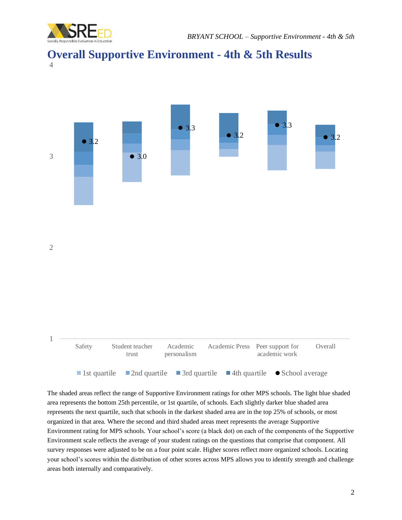





The shaded areas reflect the range of Supportive Environment ratings for other MPS schools. The light blue shaded area represents the bottom 25th percentile, or 1st quartile, of schools. Each slightly darker blue shaded area represents the next quartile, such that schools in the darkest shaded area are in the top 25% of schools, or most organized in that area. Where the second and third shaded areas meet represents the average Supportive Environment rating for MPS schools. Your school's score (a black dot) on each of the components of the Supportive Environment scale reflects the average of your student ratings on the questions that comprise that component. All survey responses were adjusted to be on a four point scale. Higher scores reflect more organized schools. Locating your school's scores within the distribution of other scores across MPS allows you to identify strength and challenge areas both internally and comparatively.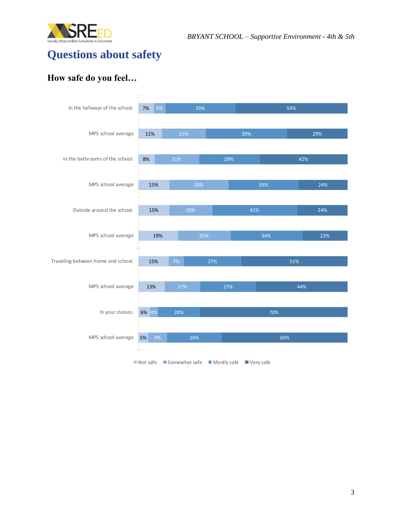



### **Questions about safety**

#### **How safe do you feel…**

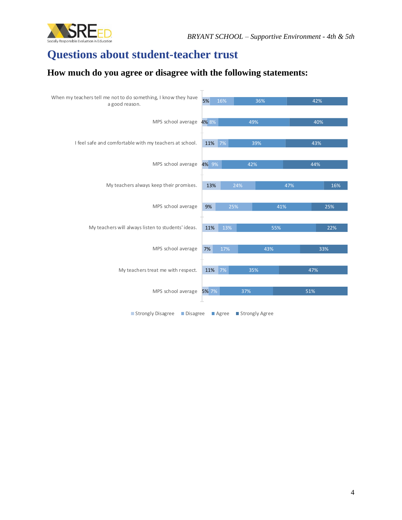

## **Questions about student-teacher trust**

#### **How much do you agree or disagree with the following statements:**

| When my teachers tell me not to do something, I know they have<br>a good reason. | 5%     | 16% | 36%        |     | 42% |     |
|----------------------------------------------------------------------------------|--------|-----|------------|-----|-----|-----|
| MPS school average 4% 8%                                                         |        |     | 49%        |     | 40% |     |
| I feel safe and comfortable with my teachers at school.                          | 11% 7% |     | 39%        |     | 43% |     |
| MPS school average                                                               | 4% 9%  |     | 42%        |     | 44% |     |
| My teachers always keep their promises.                                          | 13%    |     | 24%        | 47% |     | 16% |
| MPS school average                                                               | 9%     |     | 25%<br>41% |     | 25% |     |
| My teachers will always listen to students' ideas.                               | 11%    | 13% | 55%        |     | 22% |     |
| MPS school average                                                               | 7%     | 17% | 43%        |     | 33% |     |
| My teachers treat me with respect.                                               | 11%    | 7%  | 35%        |     | 47% |     |
| MPS school average                                                               | 5% 7%  |     | 37%        |     | 51% |     |
| Strongly Disagree<br>Strongly Agree<br>$\blacksquare$ Disagree<br>Agree          |        |     |            |     |     |     |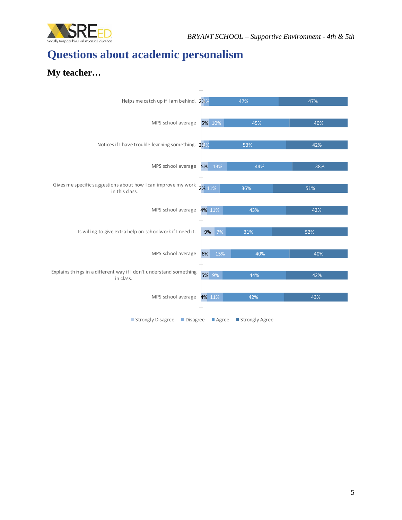

### **Questions about academic personalism**

#### **My teacher…**

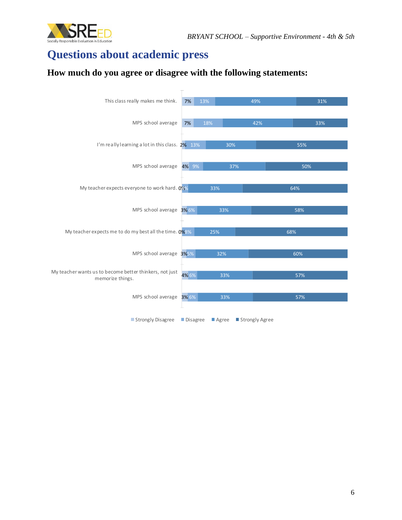



### **Questions about academic press**

#### **How much do you agree or disagree with the following statements:**

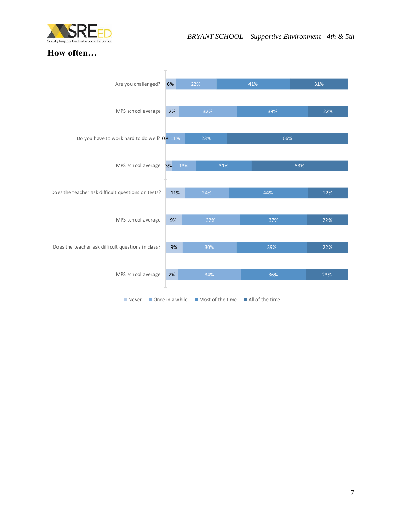

#### **How often…**